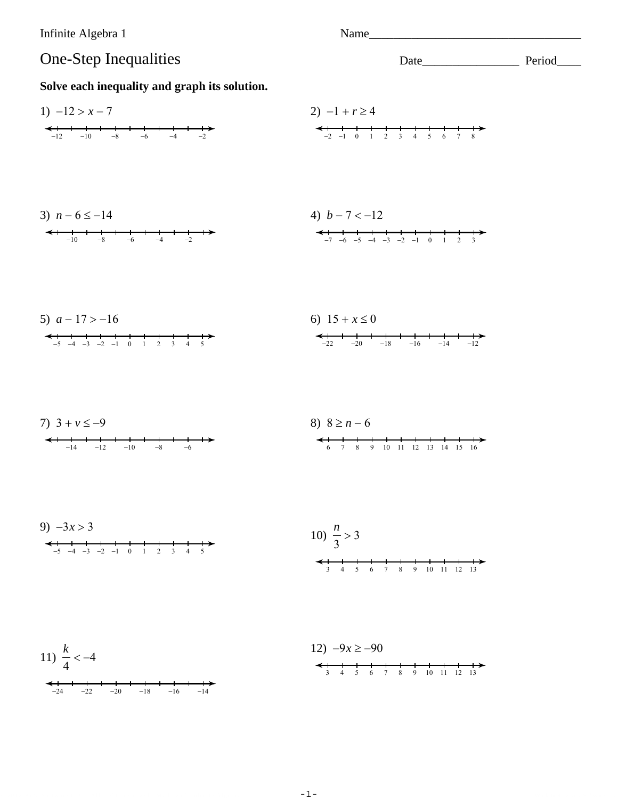Infinite Algebra 1



Solve each inequality and graph its solution.

1) 
$$
-12 > x - 7
$$
  
\n2)  $-1 + r \ge 4$   
\n3)  $n - 6 \le -14$   
\n4)  $b - 7 < -12$   
\n5)  $a - 17 > -16$   
\n6)  $15 + x \le 0$   
\n7)  $3 + v \le -9$   
\n8)  $8 \ge n - 6$   
\n9)  $-3x > 3$   
\n10)  $\frac{n}{3} > 3$   
\n11)  $\frac{k}{4} < -4$   
\n12)  $-9x \ge -90$   
\n13)  $\frac{k}{4} < -4$   
\n24)  $\frac{1}{2} + \frac{1}{6} + \frac{1}{3} + \frac{1}{4} + \frac{1}{5} + \frac{1}{6} + \frac{1}{6} + \frac{1}{12}$   
\n25)  $a - 17 > -16$   
\n36)  $15 + x \le 0$   
\n47)  $a + 12$   
\n58)  $a - 17 > 0$   
\n69)  $15 + x \le 0$   
\n $a + 12$   
\n $a + 12$   
\n $a + 12$   
\n $a + 12$   
\n $a + 12$   
\n $a + 12$   
\n $a + 12$   
\n $a + 12$   
\n $a + 12$   
\n $a + 12$   
\n $a + 12$   
\n $a + 12$   
\n $a + 12$   
\n $a + 12$   
\n $a + 12$   
\n $a + 12$   
\n $a + 12$   
\n $a + 12$   
\n $a + 12$   
\n $a + 12$   
\n $a + 12$   
\n $a + 12$   
\n $a + 12$   
\n $a + 12$   
\n $a + 12$   
\n $a + 12$   
\n $a + 12$   
\n $a$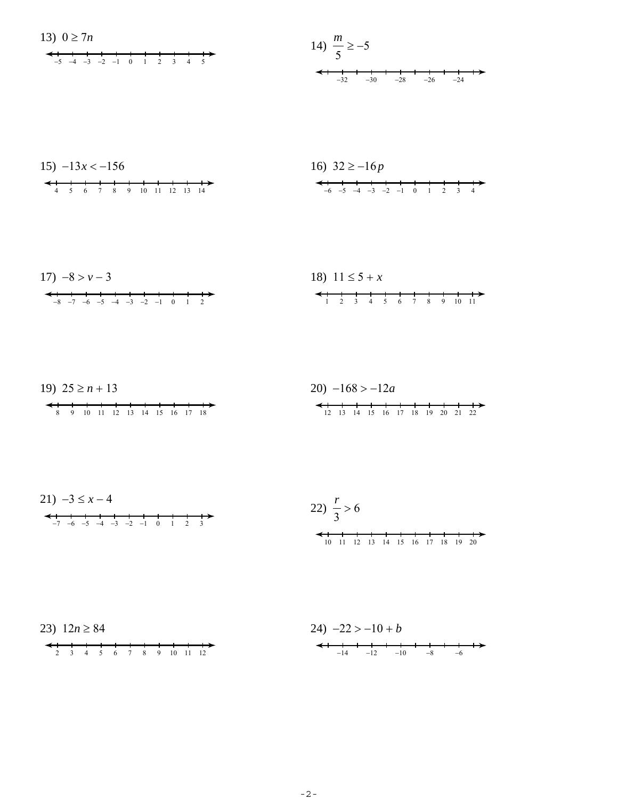

$$
17) -8 > v - 3
$$
  
\n
$$
18) 11 \le 5 + x
$$
  
\n
$$
18) 11 \le 5 + x
$$
  
\n
$$
18) 11 \le 5 + x
$$
  
\n
$$
123 + 56 + 78 + 9 + 10 + 1
$$



21)  $-3 \leq x-4$  $-7 -6 -5 -4 -3 -2 -1 0 1 2 3$ 



 $-24$ 



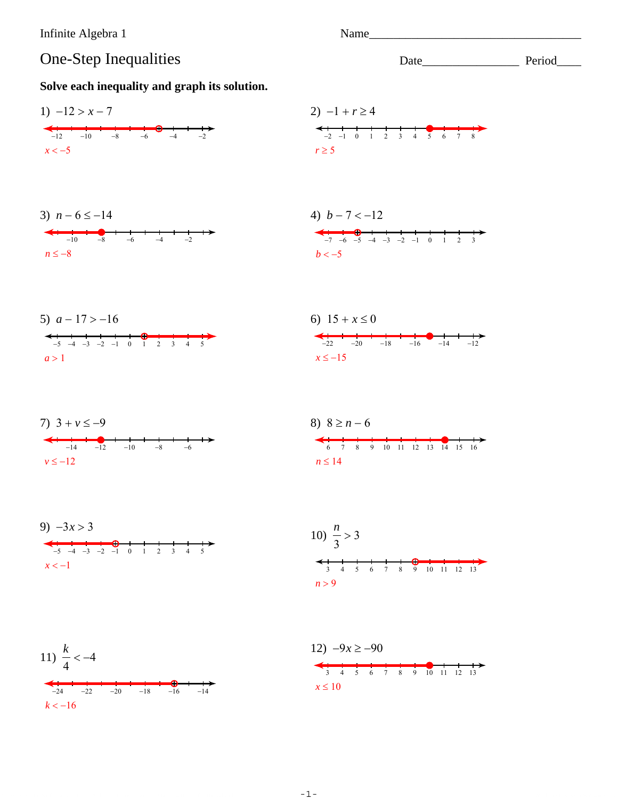Name

Date Period

## One-Step Inequalities

 $-20$ 

 $-18$ 

 $-24$   $-22$ 

 $k < -16$ 

 $-16$ 

 $-14$ 

## Solve each inequality and graph its solution.





 $-1-$